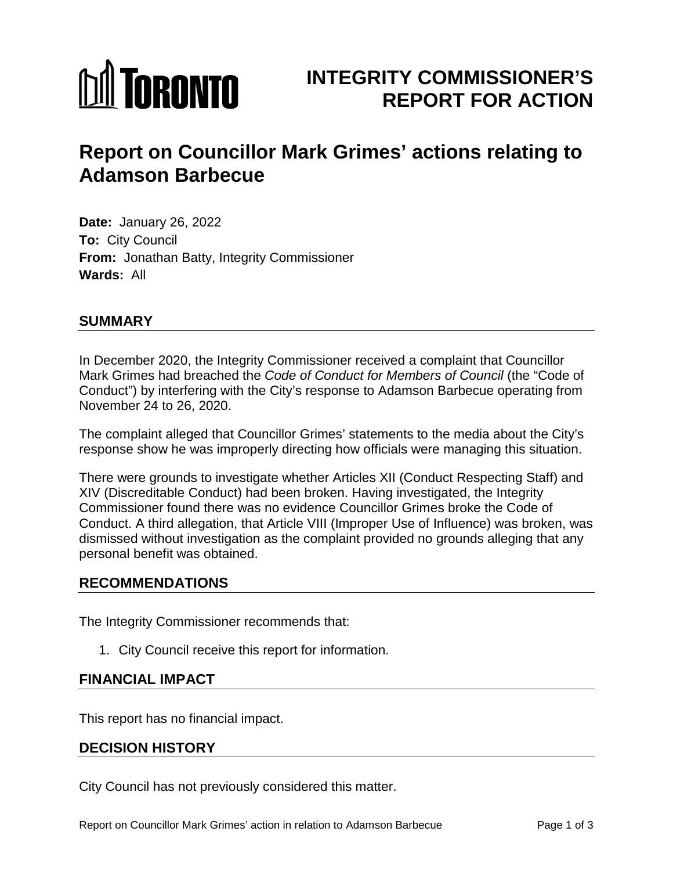# **MITORONTO**

# **INTEGRITY COMMISSIONER'S REPORT FOR ACTION**

# **Report on Councillor Mark Grimes' actions relating to Adamson Barbecue**

**Date:** January 26, 2022 **To:** City Council **From:** Jonathan Batty, Integrity Commissioner **Wards:** All

# **SUMMARY**

In December 2020, the Integrity Commissioner received a complaint that Councillor Mark Grimes had breached the *Code of Conduct for Members of Council* (the "Code of Conduct") by interfering with the City's response to Adamson Barbecue operating from November 24 to 26, 2020.

The complaint alleged that Councillor Grimes' statements to the media about the City's response show he was improperly directing how officials were managing this situation.

There were grounds to investigate whether Articles XII (Conduct Respecting Staff) and XIV (Discreditable Conduct) had been broken. Having investigated, the Integrity Commissioner found there was no evidence Councillor Grimes broke the Code of Conduct. A third allegation, that Article VIII (Improper Use of Influence) was broken, was dismissed without investigation as the complaint provided no grounds alleging that any personal benefit was obtained.

### **RECOMMENDATIONS**

The Integrity Commissioner recommends that:

1. City Council receive this report for information.

### **FINANCIAL IMPACT**

This report has no financial impact.

### **DECISION HISTORY**

City Council has not previously considered this matter.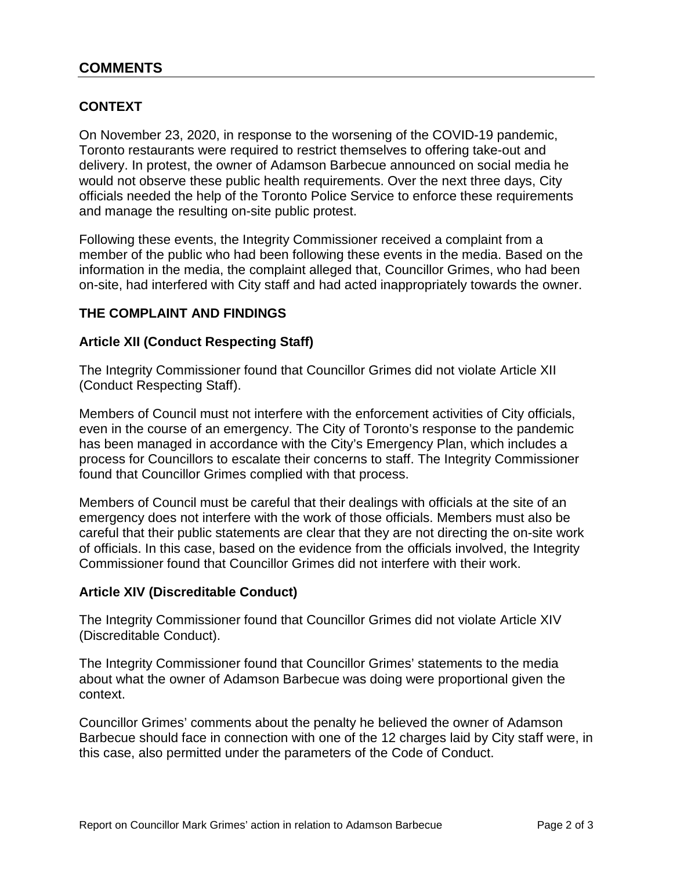## **CONTEXT**

On November 23, 2020, in response to the worsening of the COVID-19 pandemic, Toronto restaurants were required to restrict themselves to offering take-out and delivery. In protest, the owner of Adamson Barbecue announced on social media he would not observe these public health requirements. Over the next three days, City officials needed the help of the Toronto Police Service to enforce these requirements and manage the resulting on-site public protest.

Following these events, the Integrity Commissioner received a complaint from a member of the public who had been following these events in the media. Based on the information in the media, the complaint alleged that, Councillor Grimes, who had been on-site, had interfered with City staff and had acted inappropriately towards the owner.

#### **THE COMPLAINT AND FINDINGS**

#### **Article XII (Conduct Respecting Staff)**

The Integrity Commissioner found that Councillor Grimes did not violate Article XII (Conduct Respecting Staff).

Members of Council must not interfere with the enforcement activities of City officials, even in the course of an emergency. The City of Toronto's response to the pandemic has been managed in accordance with the City's Emergency Plan, which includes a process for Councillors to escalate their concerns to staff. The Integrity Commissioner found that Councillor Grimes complied with that process.

Members of Council must be careful that their dealings with officials at the site of an emergency does not interfere with the work of those officials. Members must also be careful that their public statements are clear that they are not directing the on-site work of officials. In this case, based on the evidence from the officials involved, the Integrity Commissioner found that Councillor Grimes did not interfere with their work.

#### **Article XIV (Discreditable Conduct)**

The Integrity Commissioner found that Councillor Grimes did not violate Article XIV (Discreditable Conduct).

The Integrity Commissioner found that Councillor Grimes' statements to the media about what the owner of Adamson Barbecue was doing were proportional given the context.

Councillor Grimes' comments about the penalty he believed the owner of Adamson Barbecue should face in connection with one of the 12 charges laid by City staff were, in this case, also permitted under the parameters of the Code of Conduct.